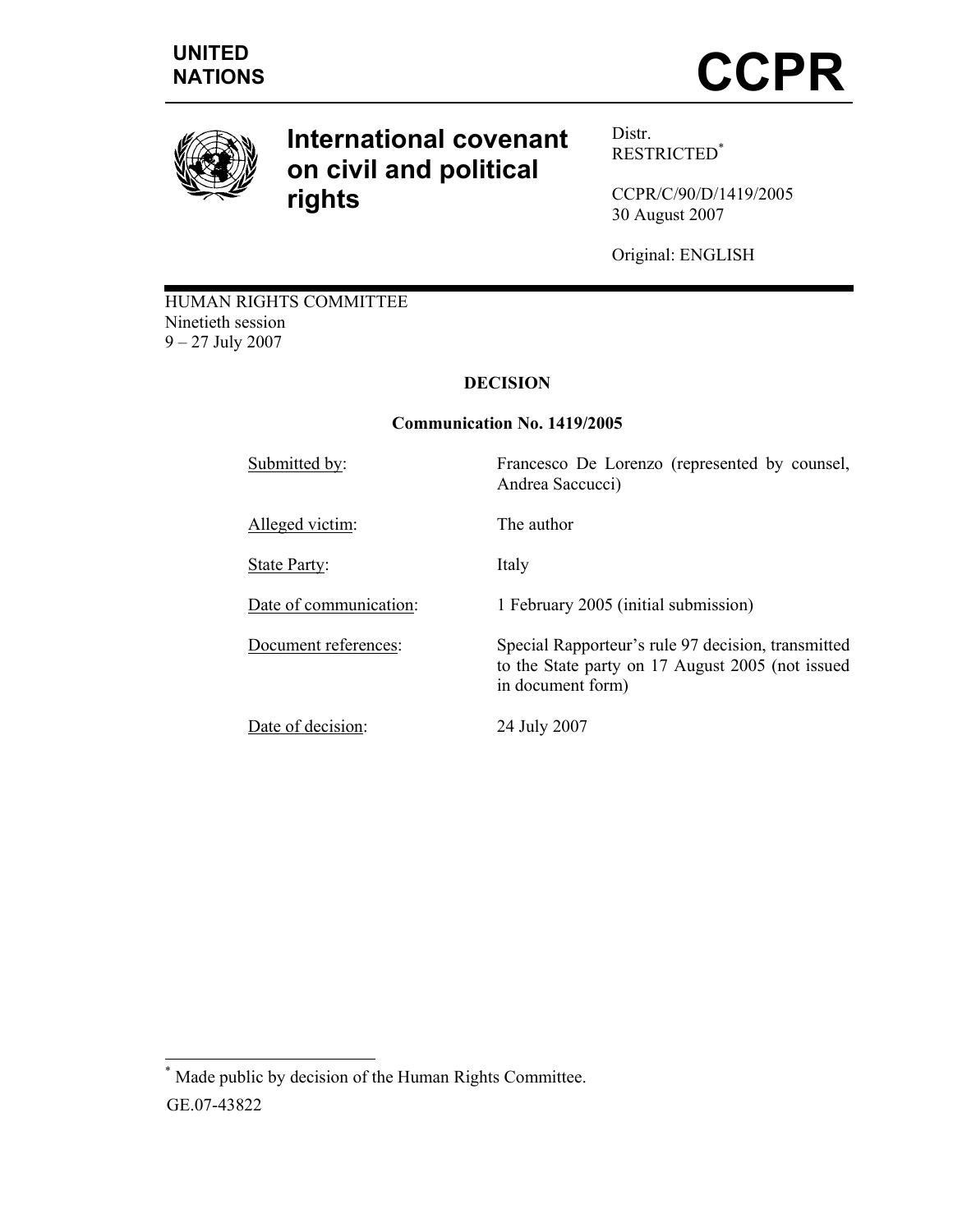

# **International covenant on civil and political rights**

Distr. RESTRICTED\*

CCPR/C/90/D/1419/2005 30 August 2007

Original: ENGLISH

HUMAN RIGHTS COMMITTEE Ninetieth session 9 – 27 July 2007

# **DECISION**

# **Communication No. 1419/2005**

Submitted by: Francesco De Lorenzo (represented by counsel, Andrea Saccucci) Alleged victim: The author State Party: Italy Date of communication: 1 February 2005 (initial submission) Document references: Special Rapporteur's rule 97 decision, transmitted to the State party on 17 August 2005 (not issued in document form) Date of decision: 24 July 2007

 $\overline{a}$ \* Made public by decision of the Human Rights Committee. GE.07-43822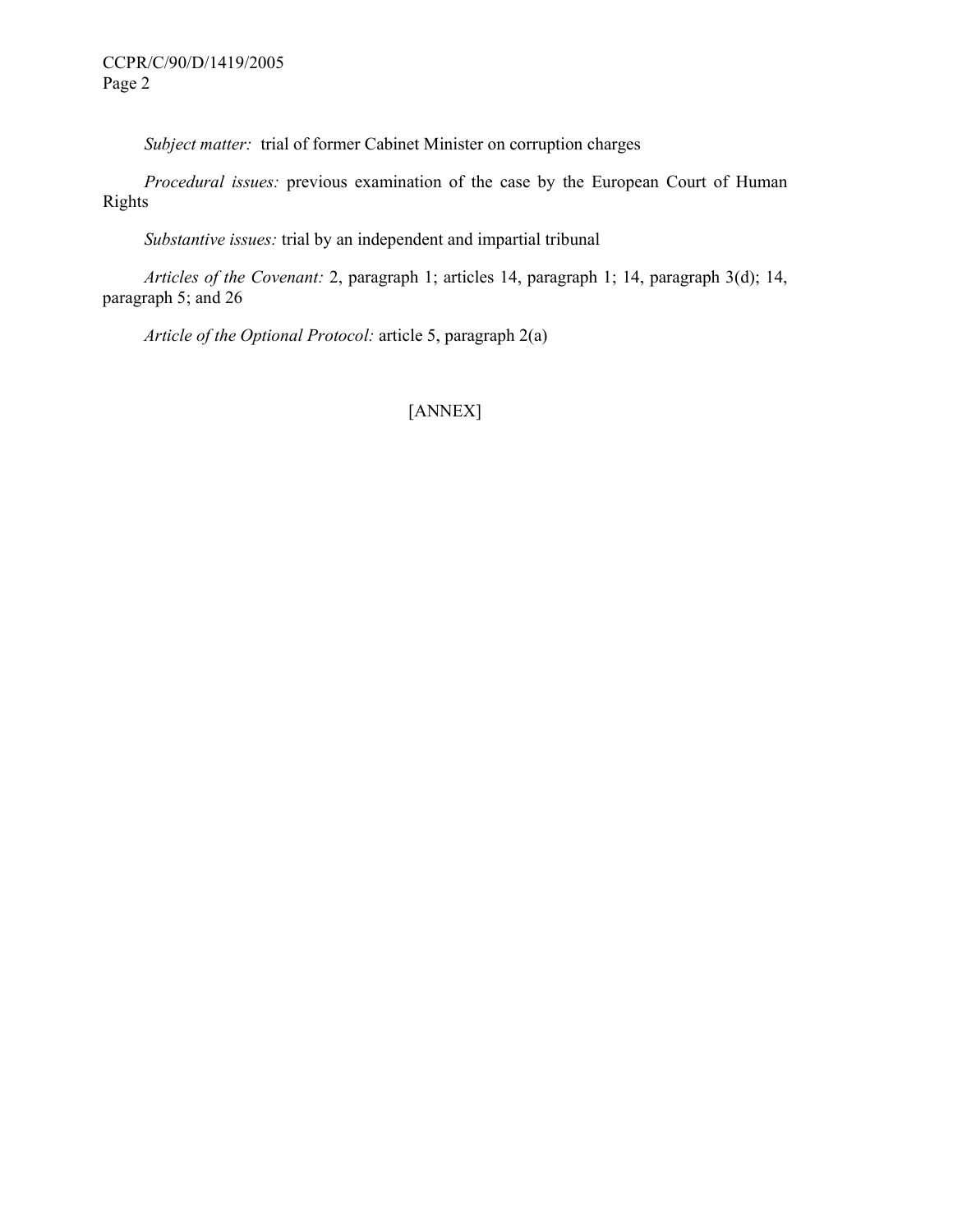*Subject matter:* trial of former Cabinet Minister on corruption charges

 *Procedural issues:* previous examination of the case by the European Court of Human Rights

 *Substantive issues:* trial by an independent and impartial tribunal

 *Articles of the Covenant:* 2, paragraph 1; articles 14, paragraph 1; 14, paragraph 3(d); 14, paragraph 5; and 26

 *Article of the Optional Protocol:* article 5, paragraph 2(a)

# [ANNEX]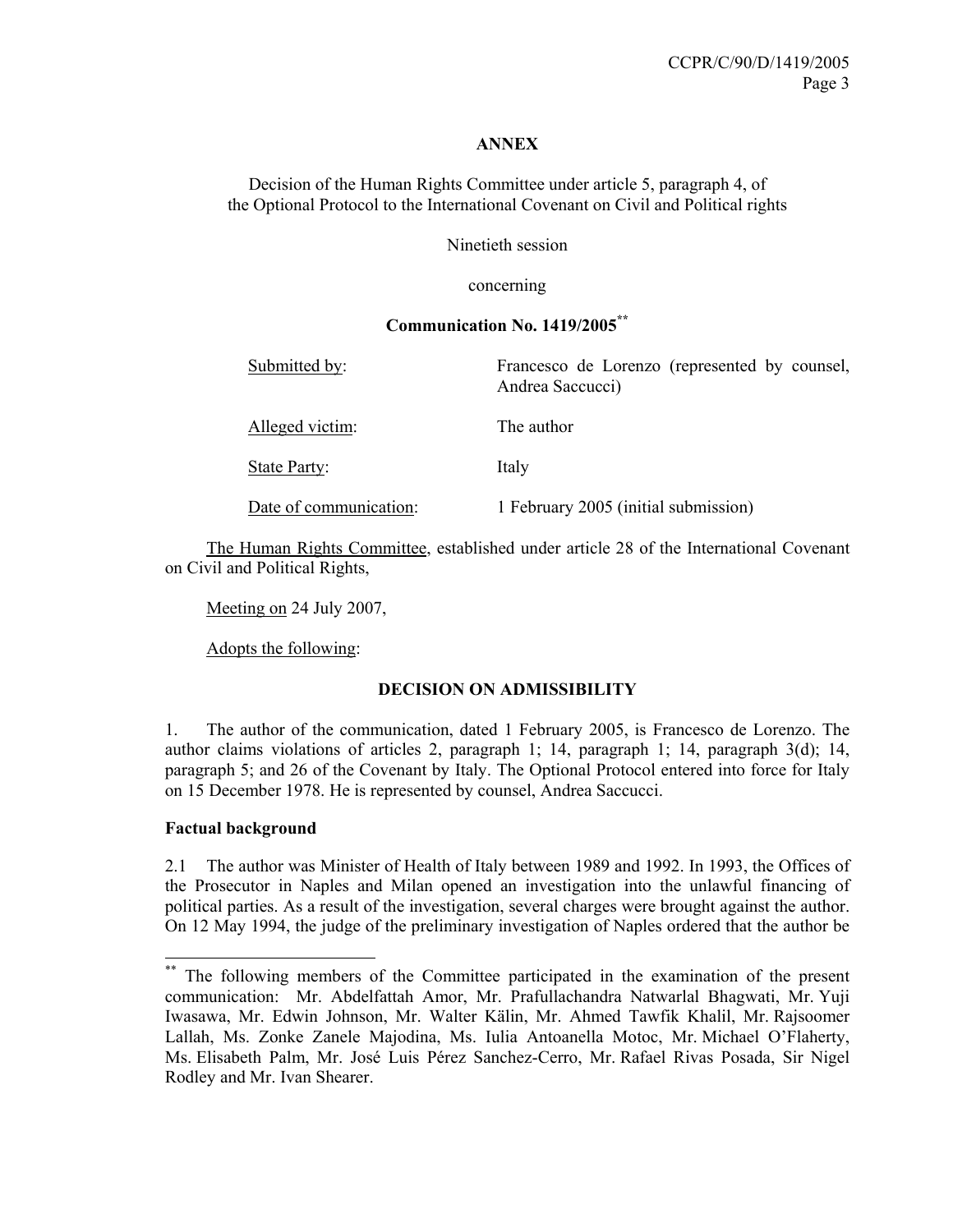#### **ANNEX**

Decision of the Human Rights Committee under article 5, paragraph 4, of the Optional Protocol to the International Covenant on Civil and Political rights

Ninetieth session

concerning

# **Communication No. 1419/2005\*\***

Submitted by: Francesco de Lorenzo (represented by counsel, Andrea Saccucci) Alleged victim: The author State Party: Italy Date of communication: 1 February 2005 (initial submission)

 The Human Rights Committee, established under article 28 of the International Covenant on Civil and Political Rights,

Meeting on 24 July 2007,

Adopts the following:

#### **DECISION ON ADMISSIBILITY**

1. The author of the communication, dated 1 February 2005, is Francesco de Lorenzo. The author claims violations of articles 2, paragraph 1; 14, paragraph 1; 14, paragraph 3(d); 14, paragraph 5; and 26 of the Covenant by Italy. The Optional Protocol entered into force for Italy on 15 December 1978. He is represented by counsel, Andrea Saccucci.

#### **Factual background**

 $\overline{a}$ 

2.1 The author was Minister of Health of Italy between 1989 and 1992. In 1993, the Offices of the Prosecutor in Naples and Milan opened an investigation into the unlawful financing of political parties. As a result of the investigation, several charges were brought against the author. On 12 May 1994, the judge of the preliminary investigation of Naples ordered that the author be

<sup>\*\*</sup> The following members of the Committee participated in the examination of the present communication: Mr. Abdelfattah Amor, Mr. Prafullachandra Natwarlal Bhagwati, Mr. Yuji Iwasawa, Mr. Edwin Johnson, Mr. Walter Kälin, Mr. Ahmed Tawfik Khalil, Mr. Rajsoomer Lallah, Ms. Zonke Zanele Majodina, Ms. Iulia Antoanella Motoc, Mr. Michael O'Flaherty, Ms. Elisabeth Palm, Mr. José Luis Pérez Sanchez-Cerro, Mr. Rafael Rivas Posada, Sir Nigel Rodley and Mr. Ivan Shearer.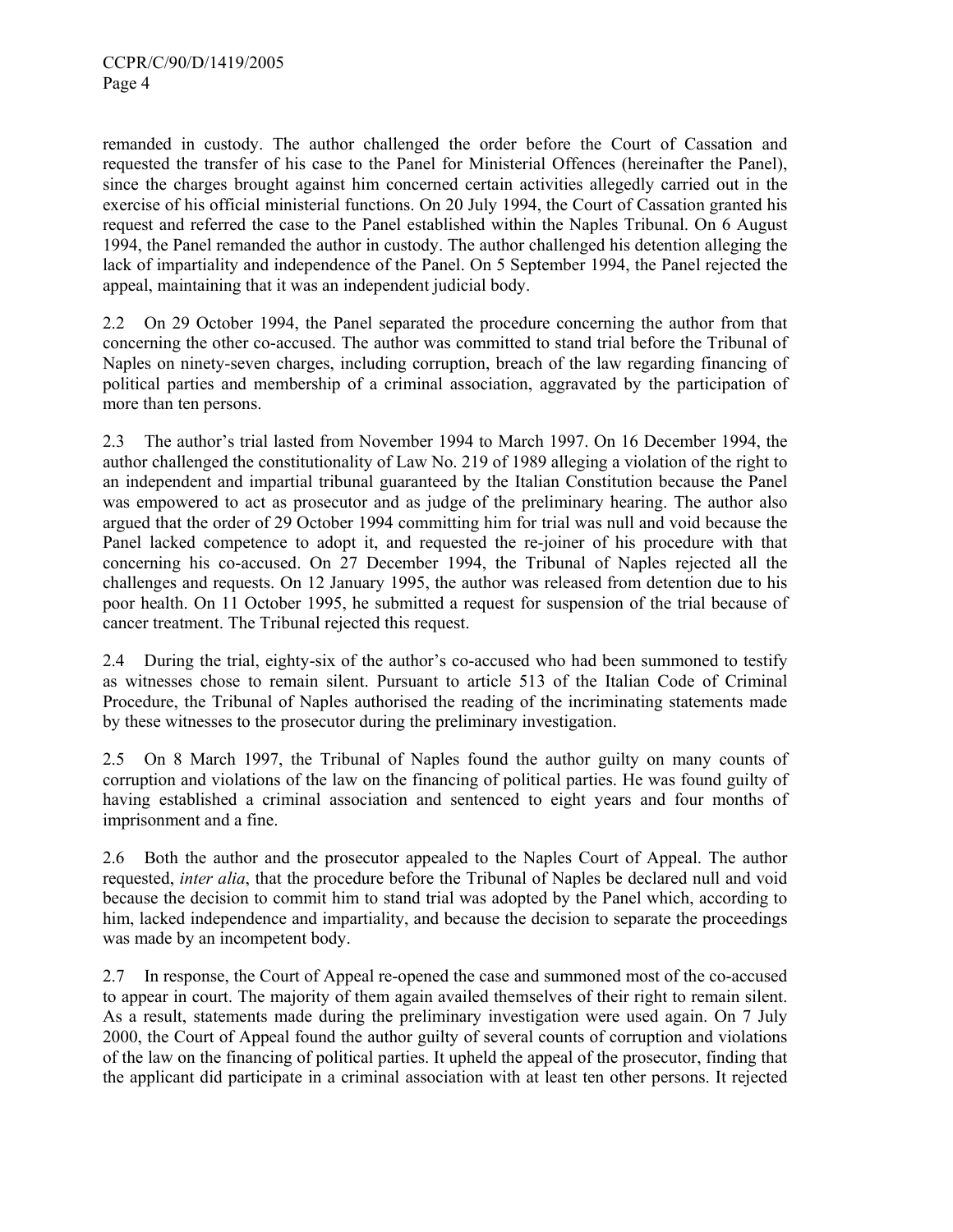remanded in custody. The author challenged the order before the Court of Cassation and requested the transfer of his case to the Panel for Ministerial Offences (hereinafter the Panel), since the charges brought against him concerned certain activities allegedly carried out in the exercise of his official ministerial functions. On 20 July 1994, the Court of Cassation granted his request and referred the case to the Panel established within the Naples Tribunal. On 6 August 1994, the Panel remanded the author in custody. The author challenged his detention alleging the lack of impartiality and independence of the Panel. On 5 September 1994, the Panel rejected the appeal, maintaining that it was an independent judicial body.

2.2 On 29 October 1994, the Panel separated the procedure concerning the author from that concerning the other co-accused. The author was committed to stand trial before the Tribunal of Naples on ninety-seven charges, including corruption, breach of the law regarding financing of political parties and membership of a criminal association, aggravated by the participation of more than ten persons.

2.3 The author's trial lasted from November 1994 to March 1997. On 16 December 1994, the author challenged the constitutionality of Law No. 219 of 1989 alleging a violation of the right to an independent and impartial tribunal guaranteed by the Italian Constitution because the Panel was empowered to act as prosecutor and as judge of the preliminary hearing. The author also argued that the order of 29 October 1994 committing him for trial was null and void because the Panel lacked competence to adopt it, and requested the re-joiner of his procedure with that concerning his co-accused. On 27 December 1994, the Tribunal of Naples rejected all the challenges and requests. On 12 January 1995, the author was released from detention due to his poor health. On 11 October 1995, he submitted a request for suspension of the trial because of cancer treatment. The Tribunal rejected this request.

2.4 During the trial, eighty-six of the author's co-accused who had been summoned to testify as witnesses chose to remain silent. Pursuant to article 513 of the Italian Code of Criminal Procedure, the Tribunal of Naples authorised the reading of the incriminating statements made by these witnesses to the prosecutor during the preliminary investigation.

2.5 On 8 March 1997, the Tribunal of Naples found the author guilty on many counts of corruption and violations of the law on the financing of political parties. He was found guilty of having established a criminal association and sentenced to eight years and four months of imprisonment and a fine.

2.6 Both the author and the prosecutor appealed to the Naples Court of Appeal. The author requested, *inter alia*, that the procedure before the Tribunal of Naples be declared null and void because the decision to commit him to stand trial was adopted by the Panel which, according to him, lacked independence and impartiality, and because the decision to separate the proceedings was made by an incompetent body.

2.7 In response, the Court of Appeal re-opened the case and summoned most of the co-accused to appear in court. The majority of them again availed themselves of their right to remain silent. As a result, statements made during the preliminary investigation were used again. On 7 July 2000, the Court of Appeal found the author guilty of several counts of corruption and violations of the law on the financing of political parties. It upheld the appeal of the prosecutor, finding that the applicant did participate in a criminal association with at least ten other persons. It rejected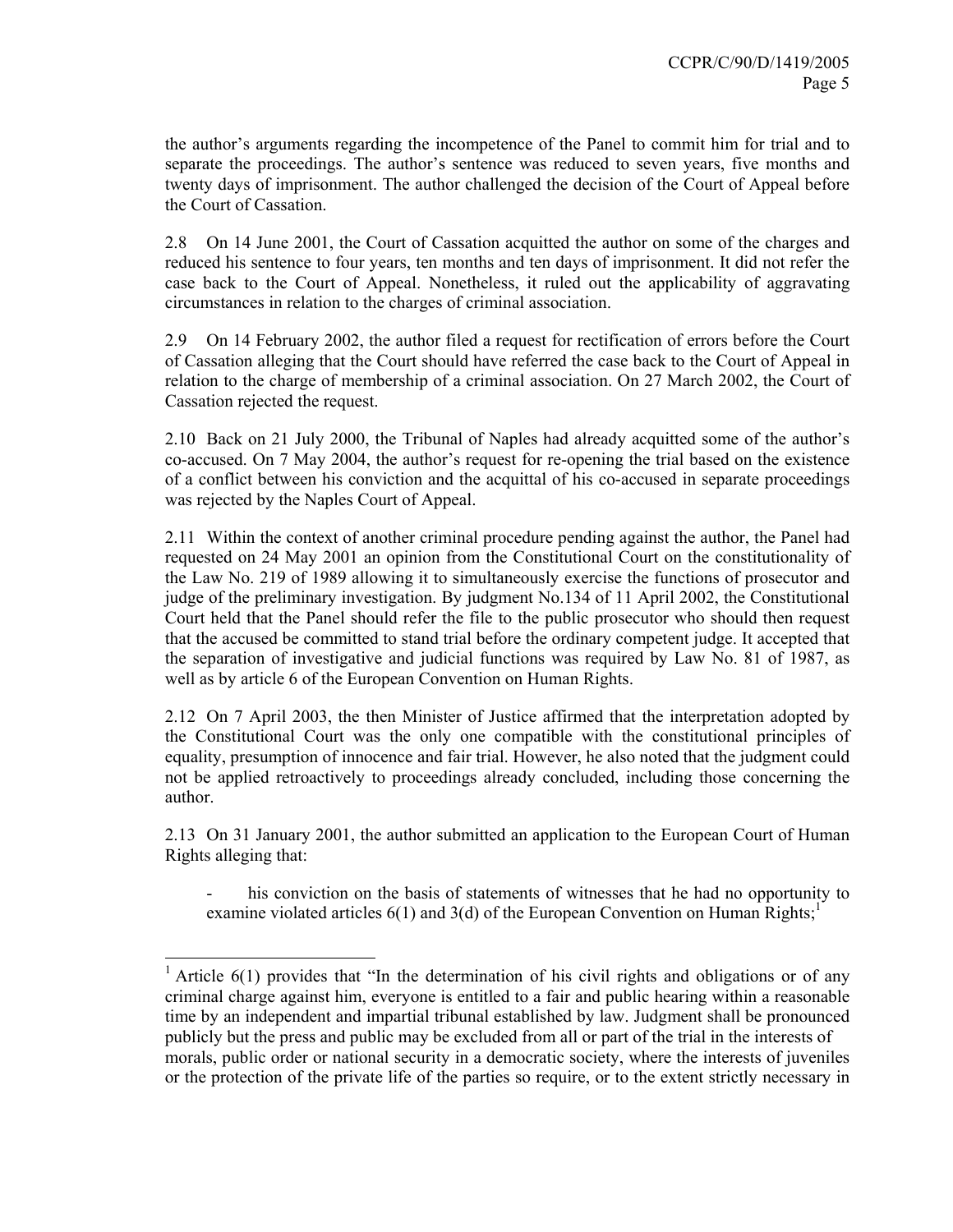the author's arguments regarding the incompetence of the Panel to commit him for trial and to separate the proceedings. The author's sentence was reduced to seven years, five months and twenty days of imprisonment. The author challenged the decision of the Court of Appeal before the Court of Cassation.

2.8 On 14 June 2001, the Court of Cassation acquitted the author on some of the charges and reduced his sentence to four years, ten months and ten days of imprisonment. It did not refer the case back to the Court of Appeal. Nonetheless, it ruled out the applicability of aggravating circumstances in relation to the charges of criminal association.

2.9 On 14 February 2002, the author filed a request for rectification of errors before the Court of Cassation alleging that the Court should have referred the case back to the Court of Appeal in relation to the charge of membership of a criminal association. On 27 March 2002, the Court of Cassation rejected the request.

2.10 Back on 21 July 2000, the Tribunal of Naples had already acquitted some of the author's co-accused. On 7 May 2004, the author's request for re-opening the trial based on the existence of a conflict between his conviction and the acquittal of his co-accused in separate proceedings was rejected by the Naples Court of Appeal.

2.11 Within the context of another criminal procedure pending against the author, the Panel had requested on 24 May 2001 an opinion from the Constitutional Court on the constitutionality of the Law No. 219 of 1989 allowing it to simultaneously exercise the functions of prosecutor and judge of the preliminary investigation. By judgment No.134 of 11 April 2002, the Constitutional Court held that the Panel should refer the file to the public prosecutor who should then request that the accused be committed to stand trial before the ordinary competent judge. It accepted that the separation of investigative and judicial functions was required by Law No. 81 of 1987, as well as by article 6 of the European Convention on Human Rights.

2.12 On 7 April 2003, the then Minister of Justice affirmed that the interpretation adopted by the Constitutional Court was the only one compatible with the constitutional principles of equality, presumption of innocence and fair trial. However, he also noted that the judgment could not be applied retroactively to proceedings already concluded, including those concerning the author.

2.13 On 31 January 2001, the author submitted an application to the European Court of Human Rights alleging that:

his conviction on the basis of statements of witnesses that he had no opportunity to examine violated articles  $6(1)$  and  $3(d)$  of the European Convention on Human Rights;<sup>1</sup>

 $\overline{a}$ 

<sup>&</sup>lt;sup>1</sup> Article 6(1) provides that "In the determination of his civil rights and obligations or of any criminal charge against him, everyone is entitled to a fair and public hearing within a reasonable time by an independent and impartial tribunal established by law. Judgment shall be pronounced publicly but the press and public may be excluded from all or part of the trial in the interests of morals, public order or national security in a democratic society, where the interests of juveniles or the protection of the private life of the parties so require, or to the extent strictly necessary in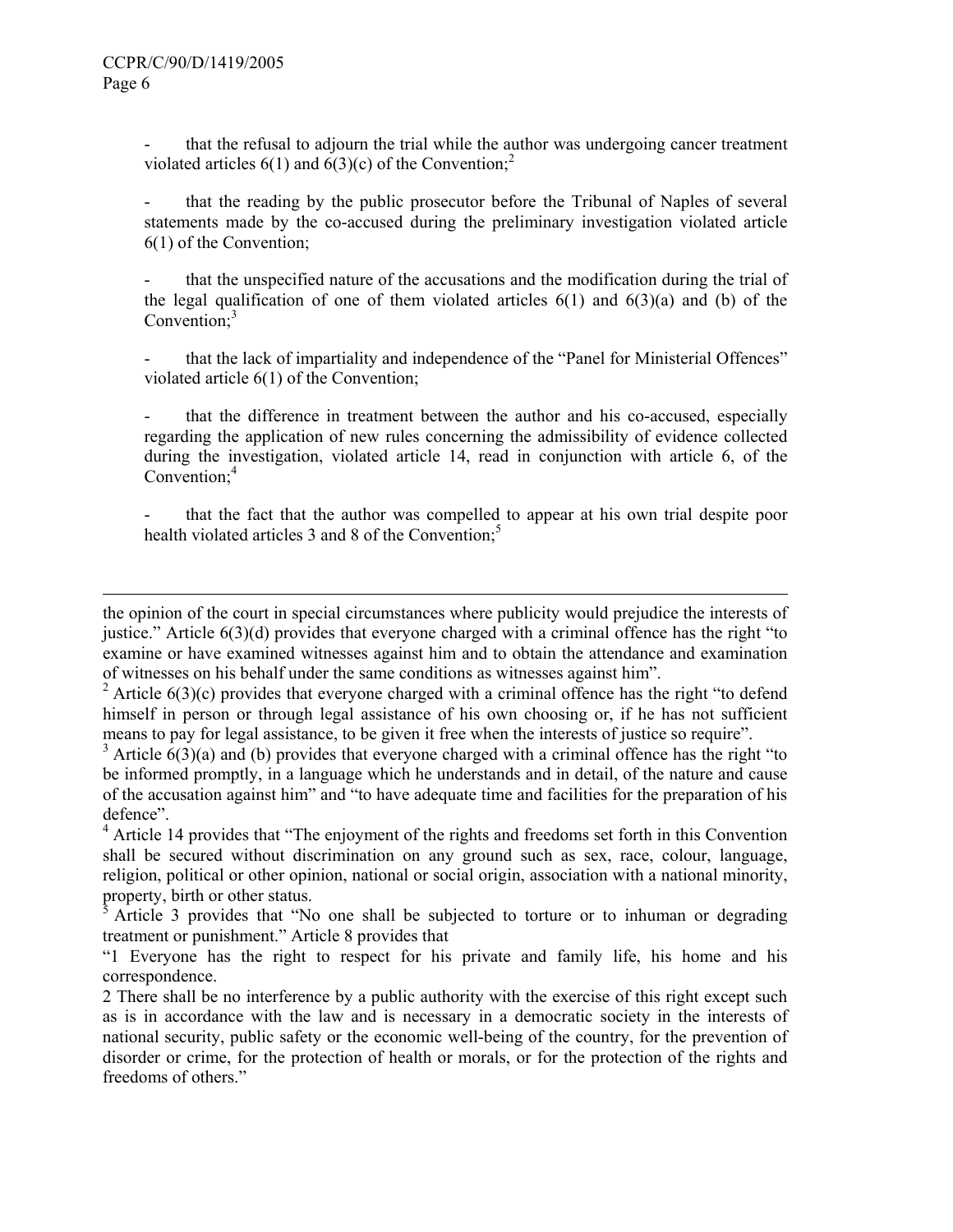l

that the refusal to adjourn the trial while the author was undergoing cancer treatment violated articles  $6(1)$  and  $6(3)(c)$  of the Convention;<sup>2</sup>

that the reading by the public prosecutor before the Tribunal of Naples of several statements made by the co-accused during the preliminary investigation violated article 6(1) of the Convention;

- that the unspecified nature of the accusations and the modification during the trial of the legal qualification of one of them violated articles  $6(1)$  and  $6(3)(a)$  and (b) of the Convention; $3$ 

that the lack of impartiality and independence of the "Panel for Ministerial Offences" violated article 6(1) of the Convention;

that the difference in treatment between the author and his co-accused, especially regarding the application of new rules concerning the admissibility of evidence collected during the investigation, violated article 14, read in conjunction with article 6, of the Convention;<sup>4</sup>

that the fact that the author was compelled to appear at his own trial despite poor health violated articles 3 and 8 of the Convention.<sup>5</sup>

<sup>2</sup> Article 6(3)(c) provides that everyone charged with a criminal offence has the right "to defend himself in person or through legal assistance of his own choosing or, if he has not sufficient means to pay for legal assistance, to be given it free when the interests of justice so require".

 $3$  Article  $6(3)(a)$  and (b) provides that everyone charged with a criminal offence has the right "to" be informed promptly, in a language which he understands and in detail, of the nature and cause of the accusation against him" and "to have adequate time and facilities for the preparation of his defence".

<sup>4</sup> Article 14 provides that "The enjoyment of the rights and freedoms set forth in this Convention shall be secured without discrimination on any ground such as sex, race, colour, language, religion, political or other opinion, national or social origin, association with a national minority, property, birth or other status.

5 Article 3 provides that "No one shall be subjected to torture or to inhuman or degrading treatment or punishment." Article 8 provides that

the opinion of the court in special circumstances where publicity would prejudice the interests of justice." Article 6(3)(d) provides that everyone charged with a criminal offence has the right "to examine or have examined witnesses against him and to obtain the attendance and examination of witnesses on his behalf under the same conditions as witnesses against him".

<sup>&</sup>quot;1 Everyone has the right to respect for his private and family life, his home and his correspondence.

<sup>2</sup> There shall be no interference by a public authority with the exercise of this right except such as is in accordance with the law and is necessary in a democratic society in the interests of national security, public safety or the economic well-being of the country, for the prevention of disorder or crime, for the protection of health or morals, or for the protection of the rights and freedoms of others."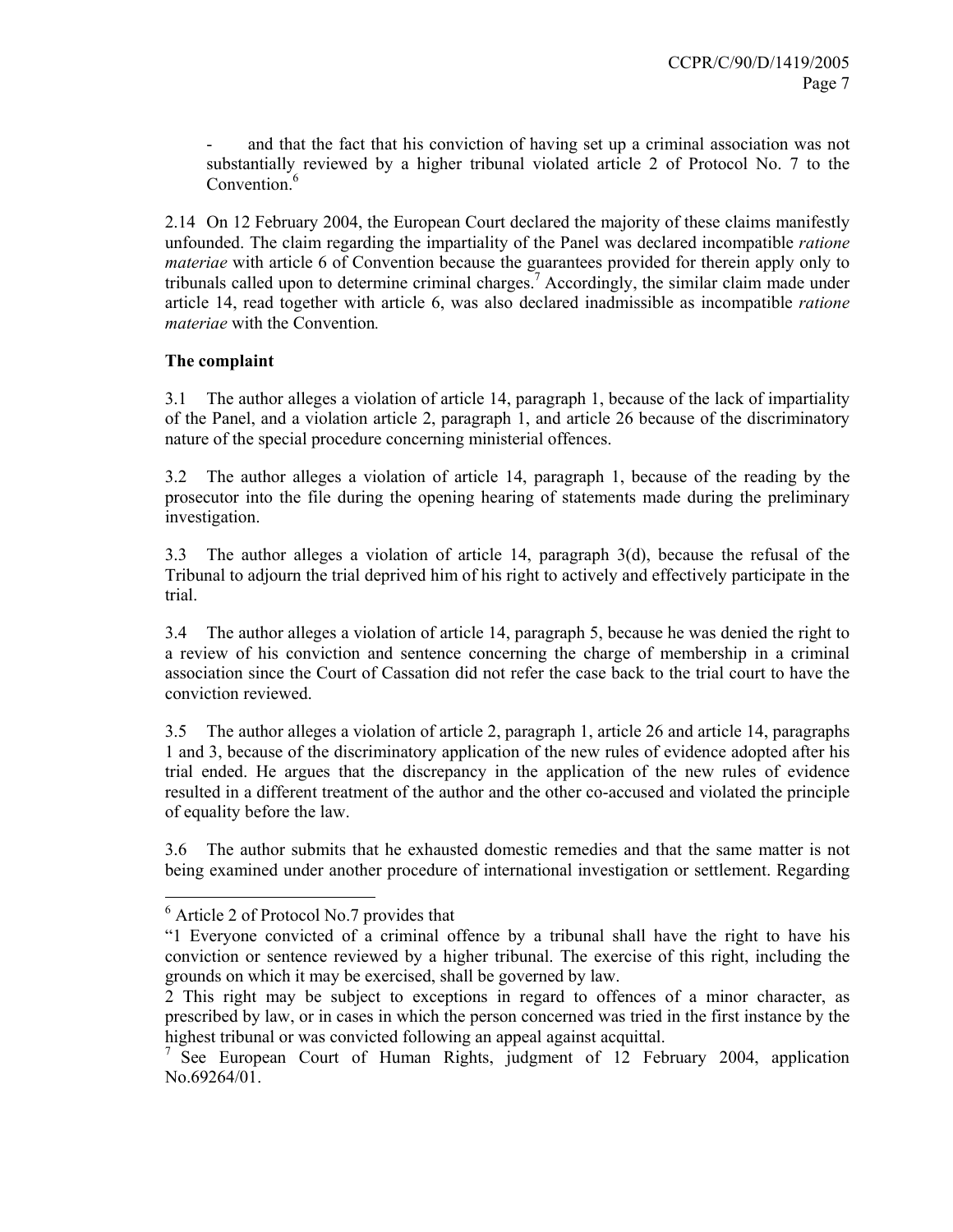and that the fact that his conviction of having set up a criminal association was not substantially reviewed by a higher tribunal violated article 2 of Protocol No. 7 to the Convention<sup>6</sup>

2.14 On 12 February 2004, the European Court declared the majority of these claims manifestly unfounded. The claim regarding the impartiality of the Panel was declared incompatible *ratione materiae* with article 6 of Convention because the guarantees provided for therein apply only to tribunals called upon to determine criminal charges.<sup>7</sup> Accordingly, the similar claim made under article 14, read together with article 6, was also declared inadmissible as incompatible *ratione materiae* with the Convention*.* 

#### **The complaint**

3.1 The author alleges a violation of article 14, paragraph 1, because of the lack of impartiality of the Panel, and a violation article 2, paragraph 1, and article 26 because of the discriminatory nature of the special procedure concerning ministerial offences.

3.2 The author alleges a violation of article 14, paragraph 1, because of the reading by the prosecutor into the file during the opening hearing of statements made during the preliminary investigation.

3.3 The author alleges a violation of article 14, paragraph 3(d), because the refusal of the Tribunal to adjourn the trial deprived him of his right to actively and effectively participate in the trial.

3.4 The author alleges a violation of article 14, paragraph 5, because he was denied the right to a review of his conviction and sentence concerning the charge of membership in a criminal association since the Court of Cassation did not refer the case back to the trial court to have the conviction reviewed.

3.5 The author alleges a violation of article 2, paragraph 1, article 26 and article 14, paragraphs 1 and 3, because of the discriminatory application of the new rules of evidence adopted after his trial ended. He argues that the discrepancy in the application of the new rules of evidence resulted in a different treatment of the author and the other co-accused and violated the principle of equality before the law.

3.6 The author submits that he exhausted domestic remedies and that the same matter is not being examined under another procedure of international investigation or settlement. Regarding

 $\overline{a}$ 

<sup>&</sup>lt;sup>6</sup> Article 2 of Protocol No.7 provides that

<sup>&</sup>quot;1 Everyone convicted of a criminal offence by a tribunal shall have the right to have his conviction or sentence reviewed by a higher tribunal. The exercise of this right, including the grounds on which it may be exercised, shall be governed by law.

<sup>2</sup> This right may be subject to exceptions in regard to offences of a minor character, as prescribed by law, or in cases in which the person concerned was tried in the first instance by the highest tribunal or was convicted following an appeal against acquittal.

<sup>&</sup>lt;sup>7</sup> See European Court of Human Rights, judgment of 12 February 2004, application No.69264/01.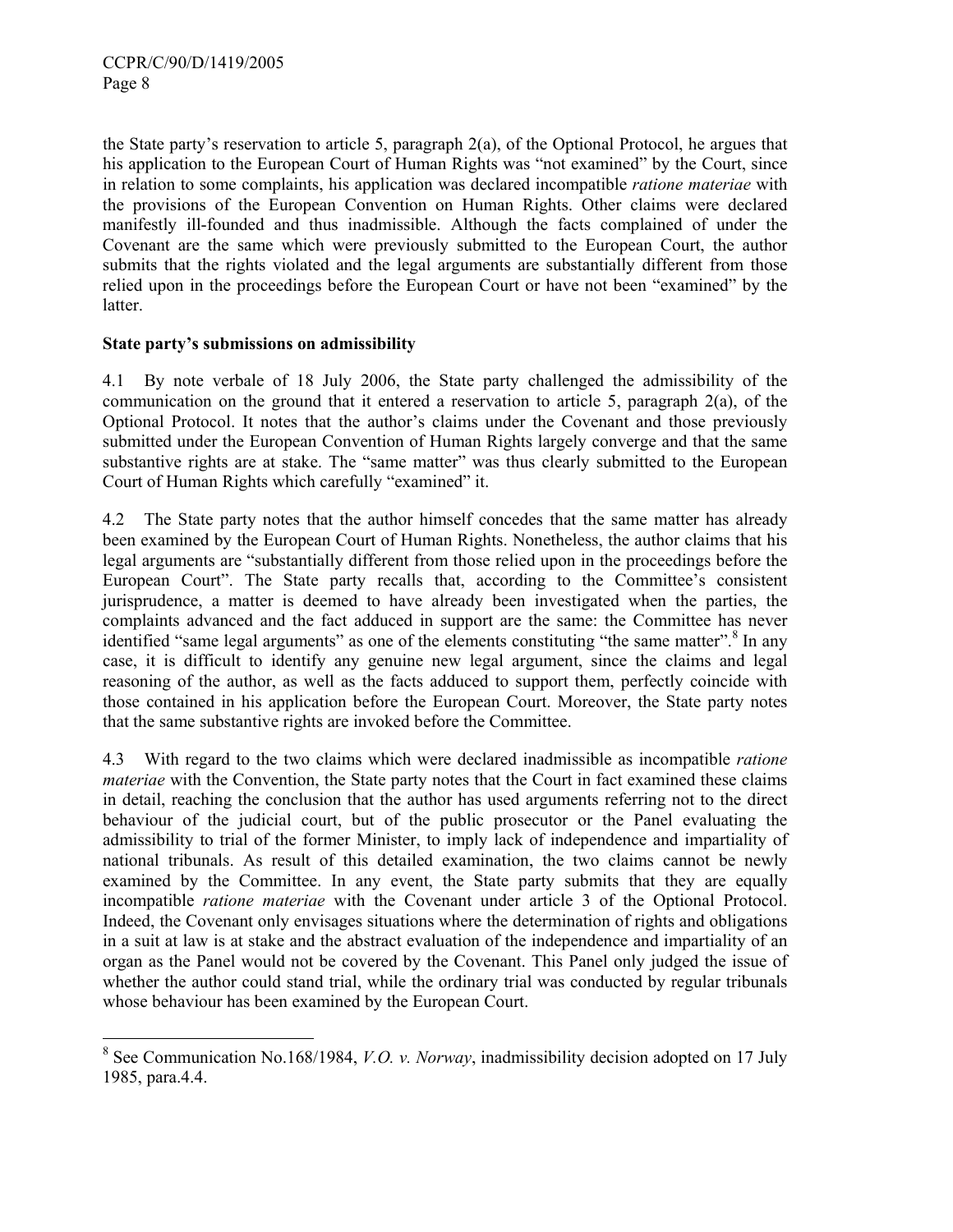the State party's reservation to article 5, paragraph 2(a), of the Optional Protocol, he argues that his application to the European Court of Human Rights was "not examined" by the Court, since in relation to some complaints, his application was declared incompatible *ratione materiae* with the provisions of the European Convention on Human Rights. Other claims were declared manifestly ill-founded and thus inadmissible. Although the facts complained of under the Covenant are the same which were previously submitted to the European Court, the author submits that the rights violated and the legal arguments are substantially different from those relied upon in the proceedings before the European Court or have not been "examined" by the latter.

#### **State party's submissions on admissibility**

4.1 By note verbale of 18 July 2006, the State party challenged the admissibility of the communication on the ground that it entered a reservation to article 5, paragraph  $2(a)$ , of the Optional Protocol. It notes that the author's claims under the Covenant and those previously submitted under the European Convention of Human Rights largely converge and that the same substantive rights are at stake. The "same matter" was thus clearly submitted to the European Court of Human Rights which carefully "examined" it.

4.2 The State party notes that the author himself concedes that the same matter has already been examined by the European Court of Human Rights. Nonetheless, the author claims that his legal arguments are "substantially different from those relied upon in the proceedings before the European Court". The State party recalls that, according to the Committee's consistent jurisprudence, a matter is deemed to have already been investigated when the parties, the complaints advanced and the fact adduced in support are the same: the Committee has never identified "same legal arguments" as one of the elements constituting "the same matter".<sup>8</sup> In any case, it is difficult to identify any genuine new legal argument, since the claims and legal reasoning of the author, as well as the facts adduced to support them, perfectly coincide with those contained in his application before the European Court. Moreover, the State party notes that the same substantive rights are invoked before the Committee.

4.3 With regard to the two claims which were declared inadmissible as incompatible *ratione materiae* with the Convention, the State party notes that the Court in fact examined these claims in detail, reaching the conclusion that the author has used arguments referring not to the direct behaviour of the judicial court, but of the public prosecutor or the Panel evaluating the admissibility to trial of the former Minister, to imply lack of independence and impartiality of national tribunals. As result of this detailed examination, the two claims cannot be newly examined by the Committee. In any event, the State party submits that they are equally incompatible *ratione materiae* with the Covenant under article 3 of the Optional Protocol. Indeed, the Covenant only envisages situations where the determination of rights and obligations in a suit at law is at stake and the abstract evaluation of the independence and impartiality of an organ as the Panel would not be covered by the Covenant. This Panel only judged the issue of whether the author could stand trial, while the ordinary trial was conducted by regular tribunals whose behaviour has been examined by the European Court.

 8 See Communication No.168/1984, *V.O. v. Norway*, inadmissibility decision adopted on 17 July 1985, para.4.4.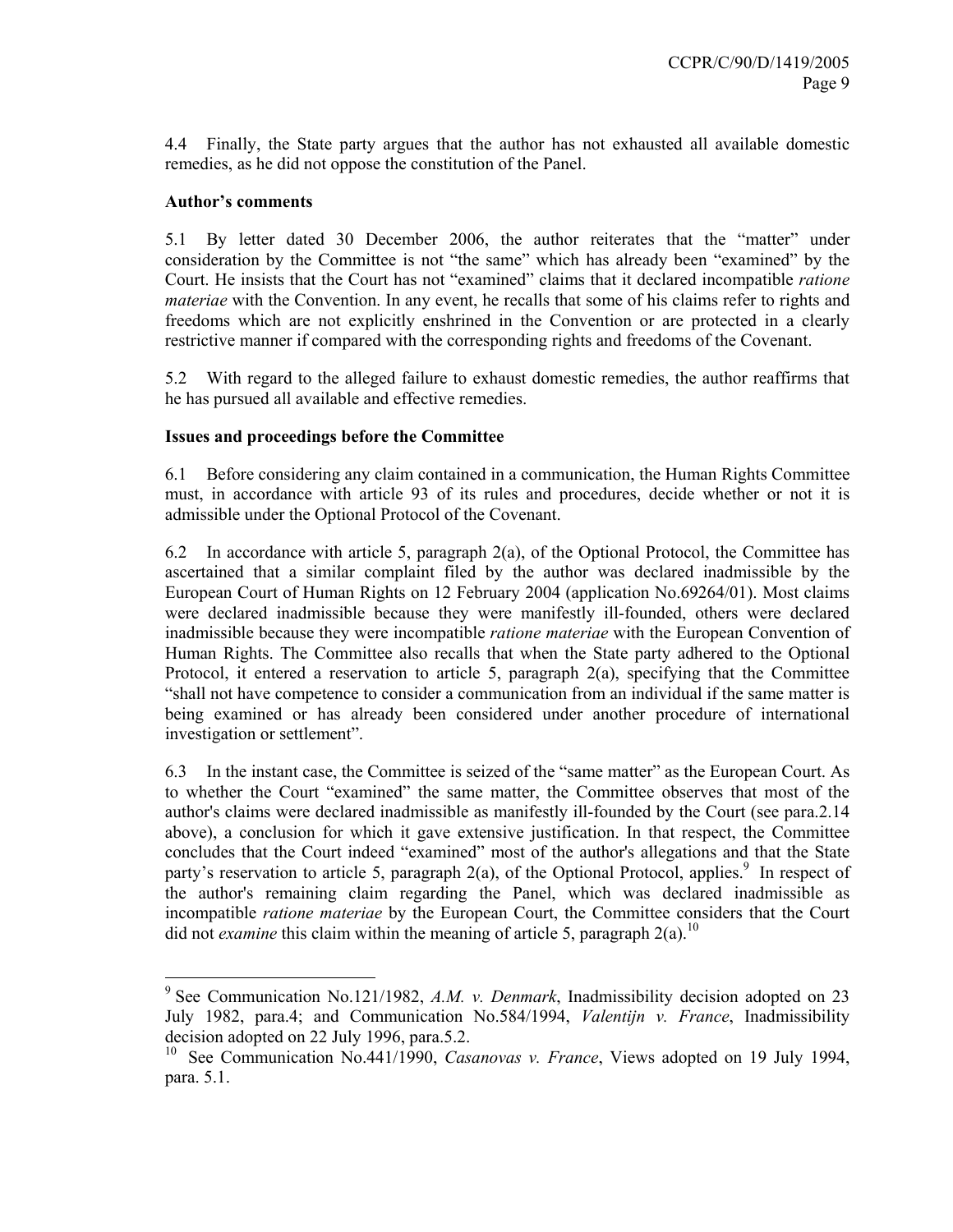4.4 Finally, the State party argues that the author has not exhausted all available domestic remedies, as he did not oppose the constitution of the Panel.

#### **Author's comments**

5.1 By letter dated 30 December 2006, the author reiterates that the "matter" under consideration by the Committee is not "the same" which has already been "examined" by the Court. He insists that the Court has not "examined" claims that it declared incompatible *ratione materiae* with the Convention. In any event, he recalls that some of his claims refer to rights and freedoms which are not explicitly enshrined in the Convention or are protected in a clearly restrictive manner if compared with the corresponding rights and freedoms of the Covenant.

5.2 With regard to the alleged failure to exhaust domestic remedies, the author reaffirms that he has pursued all available and effective remedies.

# **Issues and proceedings before the Committee**

6.1 Before considering any claim contained in a communication, the Human Rights Committee must, in accordance with article 93 of its rules and procedures, decide whether or not it is admissible under the Optional Protocol of the Covenant.

6.2 In accordance with article 5, paragraph 2(a), of the Optional Protocol, the Committee has ascertained that a similar complaint filed by the author was declared inadmissible by the European Court of Human Rights on 12 February 2004 (application No.69264/01). Most claims were declared inadmissible because they were manifestly ill-founded, others were declared inadmissible because they were incompatible *ratione materiae* with the European Convention of Human Rights. The Committee also recalls that when the State party adhered to the Optional Protocol, it entered a reservation to article 5, paragraph 2(a), specifying that the Committee "shall not have competence to consider a communication from an individual if the same matter is being examined or has already been considered under another procedure of international investigation or settlement".

6.3 In the instant case, the Committee is seized of the "same matter" as the European Court. As to whether the Court "examined" the same matter, the Committee observes that most of the author's claims were declared inadmissible as manifestly ill-founded by the Court (see para.2.14 above), a conclusion for which it gave extensive justification. In that respect, the Committee concludes that the Court indeed "examined" most of the author's allegations and that the State party's reservation to article 5, paragraph  $2(a)$ , of the Optional Protocol, applies.<sup>9</sup> In respect of the author's remaining claim regarding the Panel, which was declared inadmissible as incompatible *ratione materiae* by the European Court, the Committee considers that the Court did not *examine* this claim within the meaning of article 5, paragraph  $2(a)$ .<sup>10</sup>

 9 See Communication No.121/1982, *A.M. v. Denmark*, Inadmissibility decision adopted on 23 July 1982, para.4; and Communication No.584/1994, *Valentijn v. France*, Inadmissibility decision adopted on 22 July 1996, para.5.2.

<sup>&</sup>lt;sup>10</sup> See Communication No.441/1990, *Casanovas v. France*, Views adopted on 19 July 1994, para. 5.1.